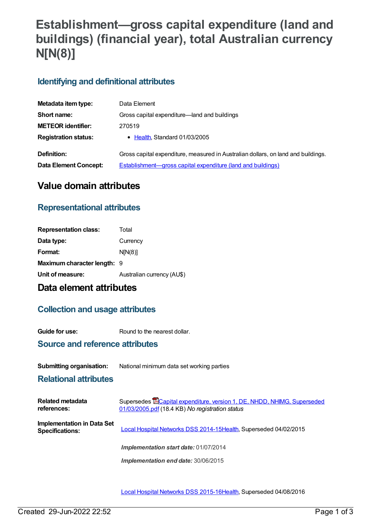# **Establishment—gross capital expenditure (land and buildings) (financial year), total Australian currency N[N(8)]**

## **Identifying and definitional attributes**

| Metadata item type:          | Data Element                                                                      |
|------------------------------|-----------------------------------------------------------------------------------|
| Short name:                  | Gross capital expenditure-land and buildings                                      |
| <b>METEOR identifier:</b>    | 270519                                                                            |
| <b>Registration status:</b>  | • Health, Standard 01/03/2005                                                     |
| Definition:                  | Gross capital expenditure, measured in Australian dollars, on land and buildings. |
| <b>Data Element Concept:</b> | <b>Establishment—gross capital expenditure (land and buildings)</b>               |

# **Value domain attributes**

## **Representational attributes**

| Total                              |
|------------------------------------|
| Currency                           |
| N[N(8)]                            |
| <b>Maximum character length: 9</b> |
| Australian currency (AU\$)         |
|                                    |

# **Data element attributes**

## **Collection and usage attributes**

**Guide for use:** Round to the nearest dollar.

### **Source and reference attributes**

#### **Submitting organisation:** National minimum data set working parties

### **Relational attributes**

| Related metadata<br>references:                      | Supersedes <b>ECapital expenditure, version 1, DE, NHDD, NHIMG, Superseded</b><br>01/03/2005.pdf (18.4 KB) No registration status |
|------------------------------------------------------|-----------------------------------------------------------------------------------------------------------------------------------|
| Implementation in Data Set<br><b>Specifications:</b> | Local Hospital Networks DSS 2014-15Health, Superseded 04/02/2015                                                                  |
|                                                      | Implementation start date: 01/07/2014                                                                                             |
|                                                      | Implementation end date: 30/06/2015                                                                                               |

Local Hospital [Networks](https://meteor.aihw.gov.au/content/600241) DSS 2015-16[Health,](https://meteor.aihw.gov.au/RegistrationAuthority/12) Superseded 04/08/2016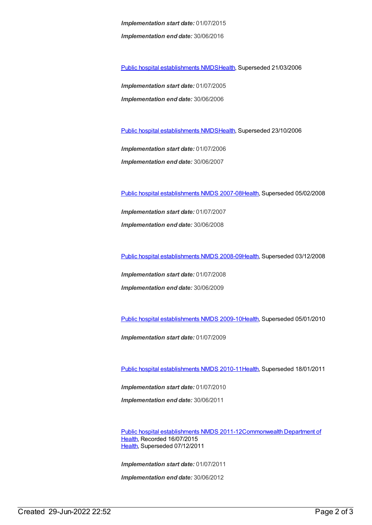*Implementation start date:* 01/07/2015 *Implementation end date:* 30/06/2016

Public hospital [establishments](https://meteor.aihw.gov.au/content/273047) NMDS[Health](https://meteor.aihw.gov.au/RegistrationAuthority/12), Superseded 21/03/2006

*Implementation start date:* 01/07/2005 *Implementation end date:* 30/06/2006

Public hospital [establishments](https://meteor.aihw.gov.au/content/334285) NMDS[Health](https://meteor.aihw.gov.au/RegistrationAuthority/12), Superseded 23/10/2006

*Implementation start date:* 01/07/2006 *Implementation end date:* 30/06/2007

Public hospital [establishments](https://meteor.aihw.gov.au/content/345139) NMDS 2007-08[Health](https://meteor.aihw.gov.au/RegistrationAuthority/12), Superseded 05/02/2008

*Implementation start date:* 01/07/2007 *Implementation end date:* 30/06/2008

Public hospital [establishments](https://meteor.aihw.gov.au/content/362302) NMDS 2008-09[Health](https://meteor.aihw.gov.au/RegistrationAuthority/12), Superseded 03/12/2008

*Implementation start date:* 01/07/2008 *Implementation end date:* 30/06/2009

Public hospital [establishments](https://meteor.aihw.gov.au/content/374924) NMDS 2009-10[Health](https://meteor.aihw.gov.au/RegistrationAuthority/12), Superseded 05/01/2010

*Implementation start date:* 01/07/2009

Public hospital [establishments](https://meteor.aihw.gov.au/content/386794) NMDS 2010-11[Health](https://meteor.aihw.gov.au/RegistrationAuthority/12), Superseded 18/01/2011

*Implementation start date:* 01/07/2010 *Implementation end date:* 30/06/2011

Public hospital [establishments](https://meteor.aihw.gov.au/content/426900) NMDS [2011-12Commonwealth](https://meteor.aihw.gov.au/RegistrationAuthority/10) Department of Health, Recorded 16/07/2015 [Health](https://meteor.aihw.gov.au/RegistrationAuthority/12), Superseded 07/12/2011

*Implementation start date:* 01/07/2011

*Implementation end date:* 30/06/2012